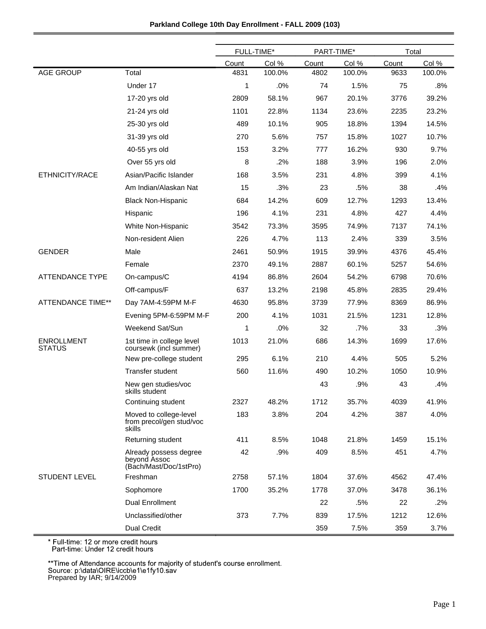| Parkland College 10th Day Enrollment - FALL 2009 (103) |
|--------------------------------------------------------|
|                                                        |

|                                    |                                                                  | FULL-TIME* |        | PART-TIME* |        | Total |        |
|------------------------------------|------------------------------------------------------------------|------------|--------|------------|--------|-------|--------|
|                                    |                                                                  | Count      | Col %  | Count      | Col %  | Count | Col %  |
| <b>AGE GROUP</b>                   | Total                                                            | 4831       | 100.0% | 4802       | 100.0% | 9633  | 100.0% |
|                                    | Under 17                                                         | 1          | .0%    | 74         | 1.5%   | 75    | .8%    |
|                                    | 17-20 yrs old                                                    | 2809       | 58.1%  | 967        | 20.1%  | 3776  | 39.2%  |
|                                    | 21-24 yrs old                                                    | 1101       | 22.8%  | 1134       | 23.6%  | 2235  | 23.2%  |
|                                    | 25-30 yrs old                                                    | 489        | 10.1%  | 905        | 18.8%  | 1394  | 14.5%  |
|                                    | 31-39 yrs old                                                    | 270        | 5.6%   | 757        | 15.8%  | 1027  | 10.7%  |
|                                    | 40-55 yrs old                                                    | 153        | 3.2%   | 777        | 16.2%  | 930   | 9.7%   |
|                                    | Over 55 yrs old                                                  | 8          | .2%    | 188        | 3.9%   | 196   | 2.0%   |
| ETHNICITY/RACE                     | Asian/Pacific Islander                                           | 168        | 3.5%   | 231        | 4.8%   | 399   | 4.1%   |
|                                    | Am Indian/Alaskan Nat                                            | 15         | .3%    | 23         | .5%    | 38    | .4%    |
|                                    | <b>Black Non-Hispanic</b>                                        | 684        | 14.2%  | 609        | 12.7%  | 1293  | 13.4%  |
|                                    | Hispanic                                                         | 196        | 4.1%   | 231        | 4.8%   | 427   | 4.4%   |
|                                    | White Non-Hispanic                                               | 3542       | 73.3%  | 3595       | 74.9%  | 7137  | 74.1%  |
|                                    | Non-resident Alien                                               | 226        | 4.7%   | 113        | 2.4%   | 339   | 3.5%   |
| <b>GENDER</b>                      | Male                                                             | 2461       | 50.9%  | 1915       | 39.9%  | 4376  | 45.4%  |
|                                    | Female                                                           | 2370       | 49.1%  | 2887       | 60.1%  | 5257  | 54.6%  |
| <b>ATTENDANCE TYPE</b>             | On-campus/C                                                      | 4194       | 86.8%  | 2604       | 54.2%  | 6798  | 70.6%  |
|                                    | Off-campus/F                                                     | 637        | 13.2%  | 2198       | 45.8%  | 2835  | 29.4%  |
| <b>ATTENDANCE TIME**</b>           | Day 7AM-4:59PM M-F                                               | 4630       | 95.8%  | 3739       | 77.9%  | 8369  | 86.9%  |
|                                    | Evening 5PM-6:59PM M-F                                           | 200        | 4.1%   | 1031       | 21.5%  | 1231  | 12.8%  |
|                                    | Weekend Sat/Sun                                                  | 1          | .0%    | 32         | .7%    | 33    | .3%    |
| <b>ENROLLMENT</b><br><b>STATUS</b> | 1st time in college level<br>coursewk (incl summer)              | 1013       | 21.0%  | 686        | 14.3%  | 1699  | 17.6%  |
|                                    | New pre-college student                                          | 295        | 6.1%   | 210        | 4.4%   | 505   | 5.2%   |
|                                    | Transfer student                                                 | 560        | 11.6%  | 490        | 10.2%  | 1050  | 10.9%  |
|                                    | New gen studies/voc<br>skills student                            |            |        | 43         | .9%    | 43    | .4%    |
|                                    | Continuing student                                               | 2327       | 48.2%  | 1712       | 35.7%  | 4039  | 41.9%  |
|                                    | Moved to college-level<br>from precol/gen stud/voc<br>skills     | 183        | 3.8%   | 204        | 4.2%   | 387   | 4.0%   |
|                                    | Returning student                                                | 411        | 8.5%   | 1048       | 21.8%  | 1459  | 15.1%  |
|                                    | Already possess degree<br>beyond Assoc<br>(Bach/Mast/Doc/1stPro) | 42         | .9%    | 409        | 8.5%   | 451   | 4.7%   |
| <b>STUDENT LEVEL</b>               | Freshman                                                         | 2758       | 57.1%  | 1804       | 37.6%  | 4562  | 47.4%  |
|                                    | Sophomore                                                        | 1700       | 35.2%  | 1778       | 37.0%  | 3478  | 36.1%  |
|                                    | <b>Dual Enrollment</b>                                           |            |        | 22         | .5%    | 22    | .2%    |
|                                    | Unclassified/other                                               | 373        | 7.7%   | 839        | 17.5%  | 1212  | 12.6%  |
|                                    | Dual Credit                                                      |            |        | 359        | 7.5%   | 359   | 3.7%   |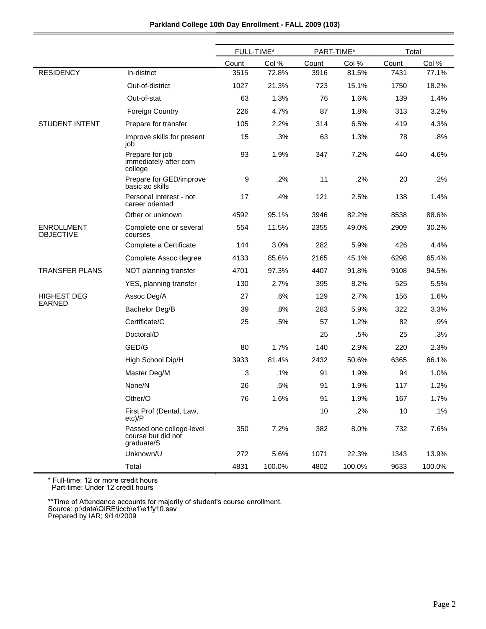|                                       |                                                              | FULL-TIME* |        | PART-TIME* |        | Total |        |
|---------------------------------------|--------------------------------------------------------------|------------|--------|------------|--------|-------|--------|
|                                       |                                                              | Count      | Col %  | Count      | Col %  | Count | Col %  |
| <b>RESIDENCY</b>                      | In-district                                                  | 3515       | 72.8%  | 3916       | 81.5%  | 7431  | 77.1%  |
|                                       | Out-of-district                                              | 1027       | 21.3%  | 723        | 15.1%  | 1750  | 18.2%  |
|                                       | Out-of-stat                                                  | 63         | 1.3%   | 76         | 1.6%   | 139   | 1.4%   |
|                                       | <b>Foreign Country</b>                                       | 226        | 4.7%   | 87         | 1.8%   | 313   | 3.2%   |
| <b>STUDENT INTENT</b>                 | Prepare for transfer                                         | 105        | 2.2%   | 314        | 6.5%   | 419   | 4.3%   |
|                                       | Improve skills for present<br>job                            | 15         | .3%    | 63         | 1.3%   | 78    | $.8\%$ |
|                                       | Prepare for job<br>immediately after com<br>college          | 93         | 1.9%   | 347        | 7.2%   | 440   | 4.6%   |
|                                       | Prepare for GED/improve<br>basic ac skills                   | 9          | .2%    | 11         | $.2\%$ | 20    | .2%    |
|                                       | Personal interest - not<br>career oriented                   | 17         | .4%    | 121        | 2.5%   | 138   | 1.4%   |
|                                       | Other or unknown                                             | 4592       | 95.1%  | 3946       | 82.2%  | 8538  | 88.6%  |
| <b>ENROLLMENT</b><br><b>OBJECTIVE</b> | Complete one or several<br>courses                           | 554        | 11.5%  | 2355       | 49.0%  | 2909  | 30.2%  |
|                                       | Complete a Certificate                                       | 144        | 3.0%   | 282        | 5.9%   | 426   | 4.4%   |
|                                       | Complete Assoc degree                                        | 4133       | 85.6%  | 2165       | 45.1%  | 6298  | 65.4%  |
| <b>TRANSFER PLANS</b>                 | NOT planning transfer                                        | 4701       | 97.3%  | 4407       | 91.8%  | 9108  | 94.5%  |
|                                       | YES, planning transfer                                       | 130        | 2.7%   | 395        | 8.2%   | 525   | 5.5%   |
| <b>HIGHEST DEG</b>                    | Assoc Deg/A                                                  | 27         | .6%    | 129        | 2.7%   | 156   | 1.6%   |
| <b>EARNED</b>                         | Bachelor Deg/B                                               | 39         | .8%    | 283        | 5.9%   | 322   | 3.3%   |
|                                       | Certificate/C                                                | 25         | .5%    | 57         | 1.2%   | 82    | .9%    |
|                                       | Doctoral/D                                                   |            |        | 25         | .5%    | 25    | .3%    |
|                                       | GED/G                                                        | 80         | 1.7%   | 140        | 2.9%   | 220   | 2.3%   |
|                                       | High School Dip/H                                            | 3933       | 81.4%  | 2432       | 50.6%  | 6365  | 66.1%  |
|                                       | Master Deg/M                                                 | 3          | .1%    | 91         | 1.9%   | 94    | 1.0%   |
|                                       | None/N                                                       | 26         | .5%    | 91         | 1.9%   | 117   | 1.2%   |
|                                       | Other/O                                                      | 76         | 1.6%   | 91         | 1.9%   | 167   | 1.7%   |
|                                       | First Prof (Dental, Law,<br>$etc$ )/P                        |            |        | 10         | .2%    | 10    | .1%    |
|                                       | Passed one college-level<br>course but did not<br>graduate/S | 350        | 7.2%   | 382        | 8.0%   | 732   | 7.6%   |
|                                       | Unknown/U                                                    | 272        | 5.6%   | 1071       | 22.3%  | 1343  | 13.9%  |
|                                       | Total                                                        | 4831       | 100.0% | 4802       | 100.0% | 9633  | 100.0% |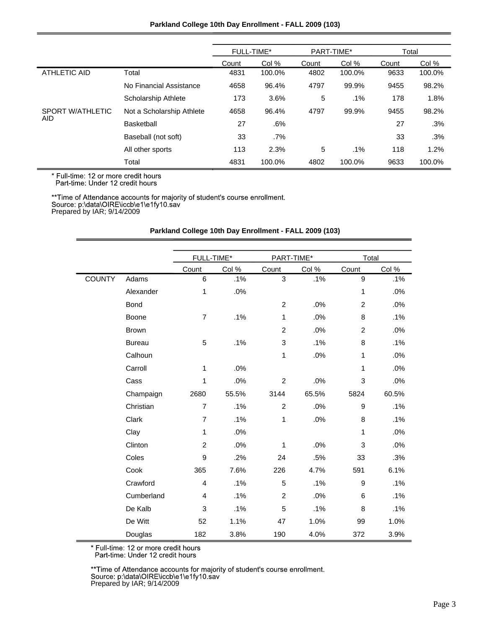## **Parkland College 10th Day Enrollment - FALL 2009 (103)**

|                  |                           | <b>FULL-TIME*</b> |        | PART-TIME* |        | Total |        |
|------------------|---------------------------|-------------------|--------|------------|--------|-------|--------|
|                  |                           | Count             | Col %  | Count      | Col %  | Count | Col %  |
| ATHLETIC AID     | Total                     | 4831              | 100.0% | 4802       | 100.0% | 9633  | 100.0% |
|                  | No Financial Assistance   | 4658              | 96.4%  | 4797       | 99.9%  | 9455  | 98.2%  |
|                  | Scholarship Athlete       | 173               | 3.6%   | 5          | $.1\%$ | 178   | 1.8%   |
| SPORT W/ATHLETIC | Not a Scholarship Athlete | 4658              | 96.4%  | 4797       | 99.9%  | 9455  | 98.2%  |
| <b>AID</b>       | Basketball                | 27                | $.6\%$ |            |        | 27    | .3%    |
|                  | Baseball (not soft)       | 33                | $.7\%$ |            |        | 33    | .3%    |
|                  | All other sports          | 113               | 2.3%   | 5          | $.1\%$ | 118   | 1.2%   |
|                  | Total                     | 4831              | 100.0% | 4802       | 100.0% | 9633  | 100.0% |

\* Full-time: 12 or more credit hours<br>Part-time: Under 12 credit hours

\*\*Time of Attendance accounts for majority of student's course enrollment.<br>Source: p:\data\OIRE\iccb\e1\e1fy10.sav<br>Prepared by IAR; 9/14/2009

|               |               | FULL-TIME*     |       | PART-TIME*       |       | Total          |       |
|---------------|---------------|----------------|-------|------------------|-------|----------------|-------|
|               |               | Count          | Col % | Count            | Col % | Count          | Col % |
| <b>COUNTY</b> | Adams         | 6              | .1%   | 3                | .1%   | 9              | .1%   |
|               | Alexander     | 1              | .0%   |                  |       | 1              | .0%   |
|               | Bond          |                |       | $\overline{2}$   | .0%   | $\overline{2}$ | .0%   |
|               | Boone         | $\overline{7}$ | .1%   | 1                | .0%   | 8              | .1%   |
|               | <b>Brown</b>  |                |       | $\overline{c}$   | .0%   | $\overline{c}$ | .0%   |
|               | <b>Bureau</b> | 5              | .1%   | 3                | .1%   | 8              | .1%   |
|               | Calhoun       |                |       | 1                | .0%   | 1              | .0%   |
|               | Carroll       | 1              | .0%   |                  |       | 1              | .0%   |
|               | Cass          | 1              | .0%   | $\overline{c}$   | .0%   | 3              | .0%   |
|               | Champaign     | 2680           | 55.5% | 3144             | 65.5% | 5824           | 60.5% |
|               | Christian     | $\overline{7}$ | .1%   | $\overline{c}$   | .0%   | 9              | .1%   |
|               | Clark         | $\overline{7}$ | .1%   | 1                | .0%   | 8              | .1%   |
|               | Clay          | 1              | .0%   |                  |       | 1              | .0%   |
|               | Clinton       | $\overline{c}$ | .0%   | 1                | .0%   | 3              | .0%   |
|               | Coles         | 9              | .2%   | 24               | .5%   | 33             | .3%   |
|               | Cook          | 365            | 7.6%  | 226              | 4.7%  | 591            | 6.1%  |
|               | Crawford      | $\overline{4}$ | .1%   | 5                | .1%   | 9              | .1%   |
|               | Cumberland    | $\overline{4}$ | .1%   | $\boldsymbol{2}$ | .0%   | 6              | .1%   |
|               | De Kalb       | 3              | .1%   | 5                | .1%   | 8              | .1%   |
|               | De Witt       | 52             | 1.1%  | 47               | 1.0%  | 99             | 1.0%  |
|               | Douglas       | 182            | 3.8%  | 190              | 4.0%  | 372            | 3.9%  |

## **Parkland College 10th Day Enrollment - FALL 2009 (103)**

\* Full-time: 12 or more credit hours<br>Part-time: Under 12 credit hours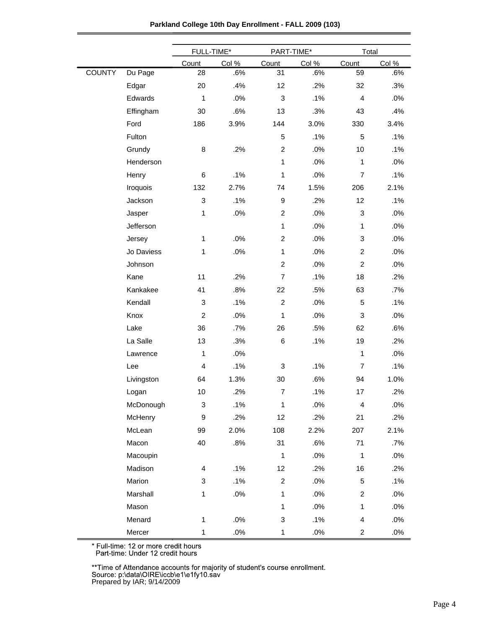| Parkland College 10th Day Enrollment - FALL 2009 (103) |  |  |
|--------------------------------------------------------|--|--|
|--------------------------------------------------------|--|--|

|               |            | FULL-TIME*                |        | PART-TIME*       |       | Total                     |       |  |
|---------------|------------|---------------------------|--------|------------------|-------|---------------------------|-------|--|
|               |            | Count                     | Col %  | Count            | Col % | Count                     | Col % |  |
| <b>COUNTY</b> | Du Page    | 28                        | .6%    | 31               | .6%   | 59                        | .6%   |  |
|               | Edgar      | 20                        | .4%    | 12               | .2%   | 32                        | .3%   |  |
|               | Edwards    | 1                         | .0%    | 3                | .1%   | $\overline{4}$            | .0%   |  |
|               | Effingham  | 30                        | .6%    | 13               | .3%   | 43                        | .4%   |  |
|               | Ford       | 186                       | 3.9%   | 144              | 3.0%  | 330                       | 3.4%  |  |
|               | Fulton     |                           |        | 5                | .1%   | 5                         | .1%   |  |
|               | Grundy     | $\bf8$                    | .2%    | $\overline{c}$   | .0%   | 10                        | .1%   |  |
|               | Henderson  |                           |        | 1                | .0%   | $\mathbf{1}$              | .0%   |  |
|               | Henry      | 6                         | .1%    | 1                | .0%   | $\overline{7}$            | .1%   |  |
|               | Iroquois   | 132                       | 2.7%   | 74               | 1.5%  | 206                       | 2.1%  |  |
|               | Jackson    | $\ensuremath{\mathsf{3}}$ | .1%    | $\boldsymbol{9}$ | .2%   | 12                        | .1%   |  |
|               | Jasper     | 1                         | .0%    | $\boldsymbol{2}$ | .0%   | $\ensuremath{\mathsf{3}}$ | .0%   |  |
|               | Jefferson  |                           |        | 1                | .0%   | $\mathbf{1}$              | .0%   |  |
|               | Jersey     | 1                         | .0%    | $\overline{c}$   | .0%   | 3                         | .0%   |  |
|               | Jo Daviess | 1                         | .0%    | 1                | .0%   | $\overline{c}$            | .0%   |  |
|               | Johnson    |                           |        | $\overline{c}$   | .0%   | $\overline{2}$            | .0%   |  |
|               | Kane       | 11                        | .2%    | $\overline{7}$   | .1%   | 18                        | .2%   |  |
|               | Kankakee   | 41                        | .8%    | 22               | .5%   | 63                        | .7%   |  |
|               | Kendall    | 3                         | .1%    | $\boldsymbol{2}$ | .0%   | 5                         | .1%   |  |
|               | Knox       | $\overline{c}$            | .0%    | $\mathbf{1}$     | .0%   | 3                         | .0%   |  |
|               | Lake       | 36                        | .7%    | 26               | .5%   | 62                        | .6%   |  |
|               | La Salle   | 13                        | .3%    | 6                | .1%   | 19                        | .2%   |  |
|               | Lawrence   | 1                         | .0%    |                  |       | $\mathbf{1}$              | .0%   |  |
|               | Lee        | 4                         | .1%    | 3                | .1%   | $\overline{7}$            | .1%   |  |
|               | Livingston | 64                        | 1.3%   | 30               | .6%   | 94                        | 1.0%  |  |
|               | Logan      | 10                        | .2%    | $\overline{7}$   | .1%   | 17                        | .2%   |  |
|               | McDonough  | 3                         | .1%    | $\mathbf{1}$     | .0%   | $\overline{\mathbf{4}}$   | .0%   |  |
|               | McHenry    | 9                         | .2%    | 12               | .2%   | 21                        | .2%   |  |
|               | McLean     | 99                        | 2.0%   | 108              | 2.2%  | 207                       | 2.1%  |  |
|               | Macon      | 40                        | .8%    | 31               | .6%   | 71                        | .7%   |  |
|               | Macoupin   |                           |        | $\mathbf{1}$     | .0%   | $\mathbf{1}$              | .0%   |  |
|               | Madison    | $\overline{\mathbf{4}}$   | .1%    | 12               | .2%   | 16                        | .2%   |  |
|               | Marion     | 3                         | .1%    | $\overline{c}$   | .0%   | $\,$ 5 $\,$               | .1%   |  |
|               | Marshall   | 1                         | $.0\%$ | 1                | .0%   | $\overline{c}$            | .0%   |  |
|               | Mason      |                           |        | $\mathbf{1}$     | .0%   | $\mathbf{1}$              | .0%   |  |
|               | Menard     | 1                         | $.0\%$ | 3                | .1%   | 4                         | .0%   |  |
|               | Mercer     | 1                         | $.0\%$ | $\mathbf{1}$     | .0%   | $\overline{c}$            | .0%   |  |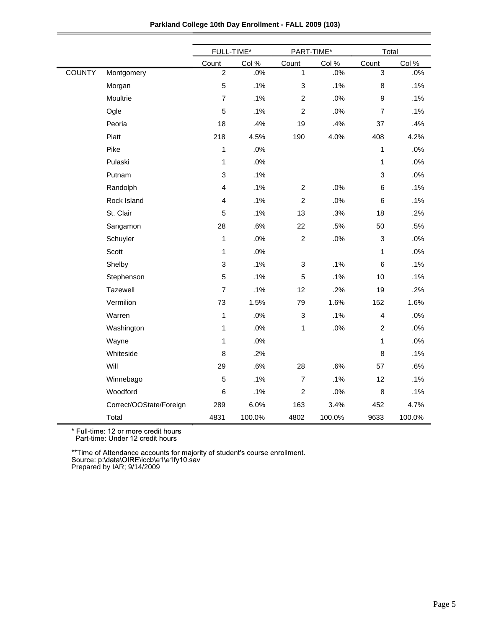|               |                         | FULL-TIME*     |        | PART-TIME*                |        |                | Total  |  |
|---------------|-------------------------|----------------|--------|---------------------------|--------|----------------|--------|--|
|               |                         | Count          | Col %  | Count                     | Col %  | Count          | Col %  |  |
| <b>COUNTY</b> | Montgomery              | $\overline{2}$ | .0%    | 1                         | .0%    | $\mathbf{3}$   | .0%    |  |
|               | Morgan                  | $\mathbf 5$    | .1%    | $\ensuremath{\mathsf{3}}$ | .1%    | 8              | .1%    |  |
|               | Moultrie                | $\overline{7}$ | .1%    | $\overline{2}$            | .0%    | 9              | .1%    |  |
|               | Ogle                    | 5              | .1%    | $\overline{2}$            | .0%    | $\overline{7}$ | .1%    |  |
|               | Peoria                  | 18             | .4%    | 19                        | .4%    | 37             | .4%    |  |
|               | Piatt                   | 218            | 4.5%   | 190                       | 4.0%   | 408            | 4.2%   |  |
|               | Pike                    | 1              | .0%    |                           |        | $\mathbf{1}$   | .0%    |  |
|               | Pulaski                 | 1              | .0%    |                           |        | $\mathbf{1}$   | .0%    |  |
|               | Putnam                  | 3              | .1%    |                           |        | $\mathsf 3$    | .0%    |  |
|               | Randolph                | 4              | .1%    | $\overline{c}$            | .0%    | $\,6$          | .1%    |  |
|               | Rock Island             | 4              | .1%    | $\overline{c}$            | .0%    | $\,6$          | .1%    |  |
|               | St. Clair               | 5              | .1%    | 13                        | .3%    | 18             | .2%    |  |
|               | Sangamon                | 28             | .6%    | 22                        | .5%    | 50             | .5%    |  |
|               | Schuyler                | 1              | .0%    | $\overline{c}$            | .0%    | $\sqrt{3}$     | .0%    |  |
|               | Scott                   | 1              | .0%    |                           |        | $\mathbf{1}$   | .0%    |  |
|               | Shelby                  | 3              | .1%    | $\ensuremath{\mathsf{3}}$ | .1%    | 6              | .1%    |  |
|               | Stephenson              | 5              | .1%    | 5                         | .1%    | 10             | .1%    |  |
|               | Tazewell                | $\overline{7}$ | .1%    | 12                        | .2%    | 19             | .2%    |  |
|               | Vermilion               | 73             | 1.5%   | 79                        | 1.6%   | 152            | 1.6%   |  |
|               | Warren                  | 1              | .0%    | $\ensuremath{\mathsf{3}}$ | .1%    | $\overline{4}$ | .0%    |  |
|               | Washington              | 1              | .0%    | 1                         | .0%    | $\overline{c}$ | .0%    |  |
|               | Wayne                   | 1              | .0%    |                           |        | $\mathbf{1}$   | .0%    |  |
|               | Whiteside               | 8              | .2%    |                           |        | 8              | .1%    |  |
|               | Will                    | 29             | .6%    | 28                        | .6%    | 57             | .6%    |  |
|               | Winnebago               | 5              | .1%    | $\overline{7}$            | .1%    | 12             | .1%    |  |
|               | Woodford                | 6              | .1%    | $\overline{c}$            | .0%    | 8              | .1%    |  |
|               | Correct/OOState/Foreign | 289            | 6.0%   | 163                       | 3.4%   | 452            | 4.7%   |  |
|               | Total                   | 4831           | 100.0% | 4802                      | 100.0% | 9633           | 100.0% |  |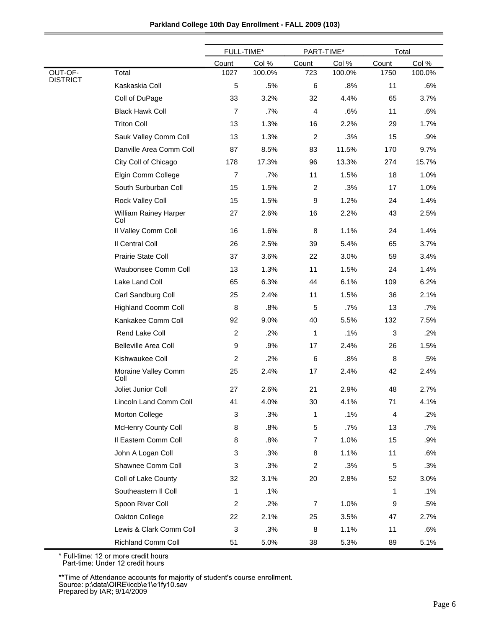|                            |                              | FULL-TIME*     |        | PART-TIME*       |        | Total |        |
|----------------------------|------------------------------|----------------|--------|------------------|--------|-------|--------|
|                            |                              | Count          | Col %  | Count            | Col %  | Count | Col %  |
| OUT-OF-<br><b>DISTRICT</b> | Total                        | 1027           | 100.0% | 723              | 100.0% | 1750  | 100.0% |
|                            | Kaskaskia Coll               | 5              | .5%    | 6                | .8%    | 11    | .6%    |
|                            | Coll of DuPage               | 33             | 3.2%   | 32               | 4.4%   | 65    | 3.7%   |
|                            | <b>Black Hawk Coll</b>       | $\overline{7}$ | .7%    | $\overline{4}$   | .6%    | 11    | .6%    |
|                            | <b>Triton Coll</b>           | 13             | 1.3%   | 16               | 2.2%   | 29    | 1.7%   |
|                            | Sauk Valley Comm Coll        | 13             | 1.3%   | $\boldsymbol{2}$ | .3%    | 15    | .9%    |
|                            | Danville Area Comm Coll      | 87             | 8.5%   | 83               | 11.5%  | 170   | 9.7%   |
|                            | City Coll of Chicago         | 178            | 17.3%  | 96               | 13.3%  | 274   | 15.7%  |
|                            | Elgin Comm College           | $\overline{7}$ | .7%    | 11               | 1.5%   | 18    | 1.0%   |
|                            | South Surburban Coll         | 15             | 1.5%   | $\overline{c}$   | .3%    | 17    | 1.0%   |
|                            | Rock Valley Coll             | 15             | 1.5%   | 9                | 1.2%   | 24    | 1.4%   |
|                            | William Rainey Harper<br>Col | 27             | 2.6%   | 16               | 2.2%   | 43    | 2.5%   |
|                            | Il Valley Comm Coll          | 16             | 1.6%   | 8                | 1.1%   | 24    | 1.4%   |
|                            | Il Central Coll              | 26             | 2.5%   | 39               | 5.4%   | 65    | 3.7%   |
|                            | Prairie State Coll           | 37             | 3.6%   | 22               | 3.0%   | 59    | 3.4%   |
|                            | Waubonsee Comm Coll          | 13             | 1.3%   | 11               | 1.5%   | 24    | 1.4%   |
|                            | Lake Land Coll               | 65             | 6.3%   | 44               | 6.1%   | 109   | 6.2%   |
|                            | Carl Sandburg Coll           | 25             | 2.4%   | 11               | 1.5%   | 36    | 2.1%   |
|                            | <b>Highland Coomm Coll</b>   | 8              | .8%    | 5                | .7%    | 13    | $.7\%$ |
|                            | Kankakee Comm Coll           | 92             | 9.0%   | 40               | 5.5%   | 132   | 7.5%   |
|                            | Rend Lake Coll               | $\overline{2}$ | .2%    | 1                | .1%    | 3     | .2%    |
|                            | <b>Belleville Area Coll</b>  | 9              | .9%    | 17               | 2.4%   | 26    | 1.5%   |
|                            | Kishwaukee Coll              | 2              | .2%    | 6                | .8%    | 8     | .5%    |
|                            | Moraine Valley Comm<br>Coll  | 25             | 2.4%   | 17               | 2.4%   | 42    | 2.4%   |
|                            | Joliet Junior Coll           | 27             | 2.6%   | 21               | 2.9%   | 48    | 2.7%   |
|                            | Lincoln Land Comm Coll       | 41             | 4.0%   | 30               | 4.1%   | 71    | 4.1%   |
|                            | Morton College               | 3              | .3%    | 1                | .1%    | 4     | .2%    |
|                            | <b>McHenry County Coll</b>   | 8              | .8%    | $\mathbf 5$      | .7%    | 13    | .7%    |
|                            | Il Eastern Comm Coll         | 8              | .8%    | $\overline{7}$   | 1.0%   | 15    | .9%    |
|                            | John A Logan Coll            | 3              | .3%    | 8                | 1.1%   | 11    | .6%    |
|                            | Shawnee Comm Coll            | 3              | .3%    | $\overline{c}$   | .3%    | 5     | .3%    |
|                            | Coll of Lake County          | 32             | 3.1%   | 20               | 2.8%   | 52    | 3.0%   |
|                            | Southeastern II Coll         | 1              | .1%    |                  |        | 1     | .1%    |
|                            | Spoon River Coll             | $\mathbf{2}$   | .2%    | 7                | 1.0%   | 9     | .5%    |
|                            | Oakton College               | 22             | 2.1%   | 25               | 3.5%   | 47    | 2.7%   |
|                            | Lewis & Clark Comm Coll      | 3              | .3%    | 8                | 1.1%   | 11    | .6%    |
|                            | Richland Comm Coll           | 51             | 5.0%   | 38               | 5.3%   | 89    | 5.1%   |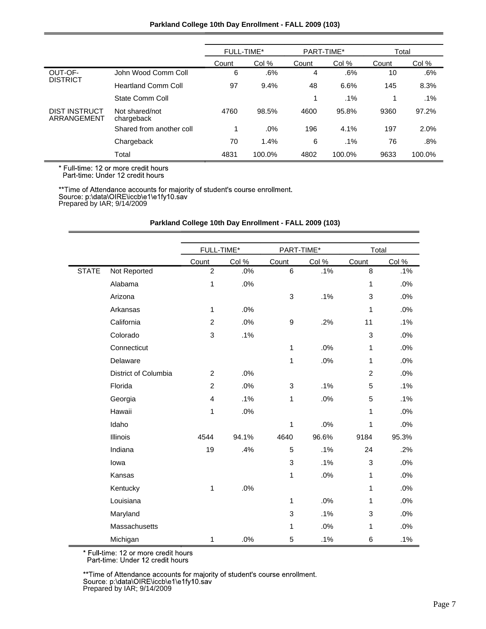## **Parkland College 10th Day Enrollment - FALL 2009 (103)**

|                                     |                              | <b>FULL-TIME*</b> |        | PART-TIME* |        | Total |        |
|-------------------------------------|------------------------------|-------------------|--------|------------|--------|-------|--------|
|                                     |                              | Count             | Col %  | Count      | Col %  | Count | Col %  |
| OUT-OF-                             | John Wood Comm Coll          | 6                 | .6%    | 4          | .6%    | 10    | .6%    |
| <b>DISTRICT</b>                     | <b>Heartland Comm Coll</b>   | 97                | 9.4%   | 48         | 6.6%   | 145   | 8.3%   |
|                                     | State Comm Coll              |                   |        | 1          | $.1\%$ | 1     | $.1\%$ |
| <b>DIST INSTRUCT</b><br>ARRANGEMENT | Not shared/not<br>chargeback | 4760              | 98.5%  | 4600       | 95.8%  | 9360  | 97.2%  |
|                                     | Shared from another coll     |                   | .0%    | 196        | 4.1%   | 197   | 2.0%   |
|                                     | Chargeback                   | 70                | 1.4%   | 6          | $.1\%$ | 76    | .8%    |
|                                     | Total                        | 4831              | 100.0% | 4802       | 100.0% | 9633  | 100.0% |

\* Full-time: 12 or more credit hours<br>Part-time: Under 12 credit hours

\*\*Time of Attendance accounts for majority of student's course enrollment.<br>Source: p:\data\OIRE\iccb\e1\e1fy10.sav<br>Prepared by IAR; 9/14/2009

|              |                      | FULL-TIME*     |       | PART-TIME*   |       | Total          |       |
|--------------|----------------------|----------------|-------|--------------|-------|----------------|-------|
|              |                      | Count          | Col % | Count        | Col % | Count          | Col % |
| <b>STATE</b> | Not Reported         | $\overline{c}$ | .0%   | 6            | .1%   | 8              | .1%   |
|              | Alabama              | 1              | .0%   |              |       | $\mathbf{1}$   | .0%   |
|              | Arizona              |                |       | 3            | .1%   | 3              | .0%   |
|              | Arkansas             | 1              | .0%   |              |       | 1              | .0%   |
|              | California           | $\overline{c}$ | .0%   | 9            | .2%   | 11             | .1%   |
|              | Colorado             | 3              | .1%   |              |       | 3              | .0%   |
|              | Connecticut          |                |       | $\mathbf{1}$ | .0%   | 1              | .0%   |
|              | Delaware             |                |       | $\mathbf{1}$ | .0%   | $\mathbf{1}$   | .0%   |
|              | District of Columbia | $\overline{2}$ | .0%   |              |       | $\overline{c}$ | .0%   |
|              | Florida              | $\overline{c}$ | .0%   | 3            | .1%   | 5              | .1%   |
|              | Georgia              | 4              | .1%   | $\mathbf{1}$ | .0%   | 5              | .1%   |
|              | Hawaii               | 1              | .0%   |              |       | 1              | .0%   |
|              | Idaho                |                |       | 1            | .0%   | 1              | .0%   |
|              | Illinois             | 4544           | 94.1% | 4640         | 96.6% | 9184           | 95.3% |
|              | Indiana              | 19             | .4%   | 5            | .1%   | 24             | .2%   |
|              | lowa                 |                |       | 3            | .1%   | 3              | .0%   |
|              | Kansas               |                |       | 1            | .0%   | 1              | .0%   |
|              | Kentucky             | 1              | .0%   |              |       | 1              | .0%   |
|              | Louisiana            |                |       | $\mathbf{1}$ | .0%   | 1              | .0%   |
|              | Maryland             |                |       | 3            | .1%   | 3              | .0%   |
|              | Massachusetts        |                |       | 1            | .0%   | 1              | .0%   |
|              | Michigan             | 1              | .0%   | 5            | .1%   | $\,6$          | .1%   |

## **Parkland College 10th Day Enrollment - FALL 2009 (103)**

\* Full-time: 12 or more credit hours<br>Part-time: Under 12 credit hours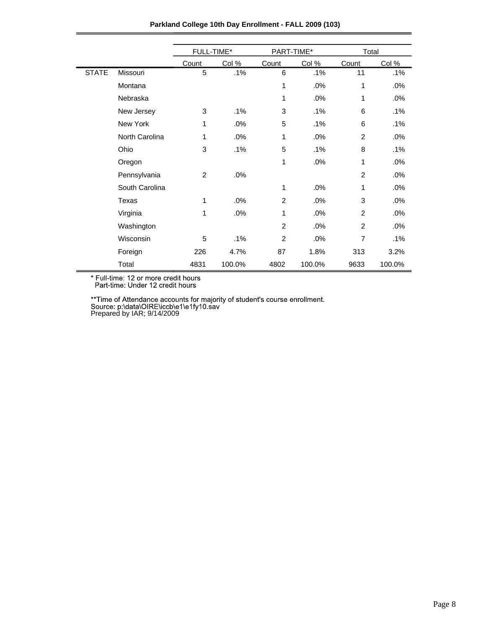|              |                | FULL-TIME*     |        | PART-TIME*     |        | Total          |        |
|--------------|----------------|----------------|--------|----------------|--------|----------------|--------|
|              |                | Count          | Col %  | Count          | Col %  | Count          | Col %  |
| <b>STATE</b> | Missouri       | 5              | .1%    | 6              | .1%    | 11             | .1%    |
|              | Montana        |                |        | 1              | .0%    | 1              | .0%    |
|              | Nebraska       |                |        | 1              | .0%    | 1              | .0%    |
|              | New Jersey     | 3              | .1%    | 3              | .1%    | 6              | $.1\%$ |
|              | New York       | 1              | .0%    | 5              | .1%    | 6              | .1%    |
|              | North Carolina | 1              | .0%    | 1              | .0%    | $\overline{2}$ | .0%    |
|              | Ohio           | 3              | .1%    | 5              | .1%    | 8              | .1%    |
|              | Oregon         |                |        | 1              | .0%    | 1              | .0%    |
|              | Pennsylvania   | $\overline{2}$ | .0%    |                |        | $\overline{2}$ | .0%    |
|              | South Carolina |                |        | 1              | .0%    | 1              | .0%    |
|              | Texas          | 1              | .0%    | 2              | .0%    | 3              | .0%    |
|              | Virginia       | 1              | .0%    | 1              | .0%    | $\overline{2}$ | .0%    |
|              | Washington     |                |        | $\overline{2}$ | .0%    | 2              | .0%    |
|              | Wisconsin      | 5              | .1%    | $\overline{2}$ | .0%    | $\overline{7}$ | .1%    |
|              | Foreign        | 226            | 4.7%   | 87             | 1.8%   | 313            | 3.2%   |
|              | Total          | 4831           | 100.0% | 4802           | 100.0% | 9633           | 100.0% |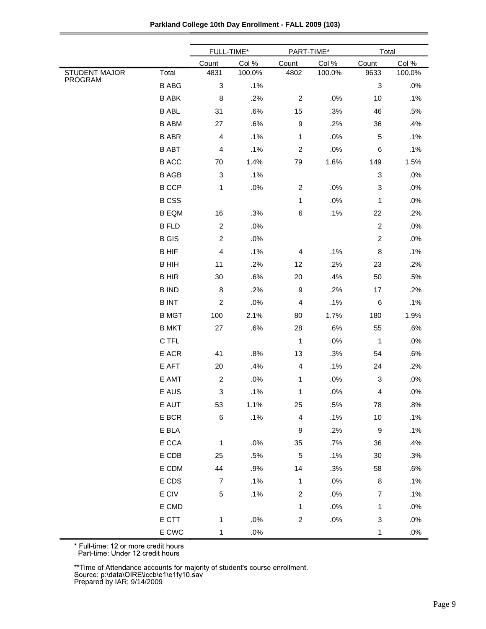|                                 |                 | FULL-TIME*                |        | PART-TIME*              |        | Total                     |        |
|---------------------------------|-----------------|---------------------------|--------|-------------------------|--------|---------------------------|--------|
|                                 |                 | Count                     | Col %  | Count                   | Col %  | Count                     | Col %  |
| <b>STUDENT MAJOR</b><br>PROGRAM | Total           | 4831                      | 100.0% | 4802                    | 100.0% | 9633                      | 100.0% |
|                                 | <b>B ABG</b>    | $\ensuremath{\mathsf{3}}$ | .1%    |                         |        | $\ensuremath{\mathsf{3}}$ | .0%    |
|                                 | <b>B ABK</b>    | 8                         | .2%    | $\boldsymbol{2}$        | .0%    | 10                        | .1%    |
|                                 | <b>B ABL</b>    | 31                        | .6%    | 15                      | .3%    | 46                        | .5%    |
|                                 | <b>B ABM</b>    | 27                        | .6%    | $\boldsymbol{9}$        | .2%    | 36                        | .4%    |
|                                 | <b>B ABR</b>    | $\overline{\mathbf{4}}$   | .1%    | $\mathbf 1$             | .0%    | 5                         | .1%    |
|                                 | <b>B ABT</b>    | 4                         | .1%    | $\boldsymbol{2}$        | .0%    | $\,6$                     | .1%    |
|                                 | <b>B ACC</b>    | 70                        | 1.4%   | 79                      | 1.6%   | 149                       | 1.5%   |
|                                 | <b>B AGB</b>    | $\ensuremath{\mathsf{3}}$ | .1%    |                         |        | 3                         | .0%    |
|                                 | <b>B CCP</b>    | 1                         | .0%    | $\boldsymbol{2}$        | .0%    | $\ensuremath{\mathsf{3}}$ | .0%    |
|                                 | <b>BCSS</b>     |                           |        | 1                       | .0%    | 1                         | .0%    |
|                                 | <b>B EQM</b>    | 16                        | .3%    | $\,6$                   | .1%    | 22                        | .2%    |
|                                 | <b>B FLD</b>    | $\boldsymbol{2}$          | .0%    |                         |        | $\boldsymbol{2}$          | .0%    |
|                                 | <b>B</b> GIS    | $\overline{c}$            | .0%    |                         |        | $\boldsymbol{2}$          | .0%    |
|                                 | <b>BHIF</b>     | 4                         | .1%    | 4                       | .1%    | 8                         | .1%    |
|                                 | <b>B HIH</b>    | 11                        | .2%    | 12                      | .2%    | 23                        | .2%    |
|                                 | <b>BHIR</b>     | $30\,$                    | .6%    | 20                      | .4%    | 50                        | .5%    |
|                                 | <b>B IND</b>    | $\bf 8$                   | .2%    | 9                       | .2%    | 17                        | .2%    |
|                                 | <b>BINT</b>     | $\boldsymbol{2}$          | .0%    | $\overline{\mathbf{4}}$ | .1%    | $\,6$                     | .1%    |
|                                 | <b>B MGT</b>    | 100                       | 2.1%   | 80                      | 1.7%   | 180                       | 1.9%   |
|                                 | <b>B MKT</b>    | 27                        | .6%    | 28                      | .6%    | 55                        | .6%    |
|                                 | C TFL           |                           |        | $\mathbf{1}$            | .0%    | 1                         | .0%    |
|                                 | E ACR           | 41                        | .8%    | 13                      | .3%    | 54                        | .6%    |
|                                 | E AFT           | 20                        | .4%    | $\overline{\mathbf{4}}$ | .1%    | 24                        | .2%    |
|                                 | E AMT           | $\boldsymbol{2}$          | .0%    | 1                       | .0%    | 3                         | .0%    |
|                                 | E AUS           | 3                         | .1%    | 1                       | $.0\%$ | 4                         | .0%    |
|                                 | E AUT           | 53                        | 1.1%   | 25                      | .5%    | 78                        | .8%    |
|                                 | E BCR           | $\,6$                     | .1%    | $\overline{4}$          | .1%    | $10$                      | .1%    |
|                                 | E BLA           |                           |        | $\boldsymbol{9}$        | .2%    | $\boldsymbol{9}$          | .1%    |
|                                 | E CCA           | 1                         | $.0\%$ | 35                      | .7%    | 36                        | .4%    |
|                                 | E CDB           | 25                        | .5%    | $\sqrt{5}$              | .1%    | $30\,$                    | .3%    |
|                                 | E CDM           | 44                        | .9%    | 14                      | .3%    | 58                        | .6%    |
|                                 | E CDS           | $\boldsymbol{7}$          | .1%    | 1                       | .0%    | $\bf 8$                   | .1%    |
|                                 | $\mathsf E$ CIV | 5                         | .1%    | $\overline{c}$          | .0%    | $\overline{7}$            | .1%    |
|                                 | E CMD           |                           |        | $\mathbf{1}$            | .0%    | 1                         | .0%    |
|                                 | E CTT           | 1                         | .0%    | $\boldsymbol{2}$        | $.0\%$ | 3                         | .0%    |
|                                 | E CWC           | $\mathbf{1}$              | .0%    |                         |        | $\mathbf{1}$              | $.0\%$ |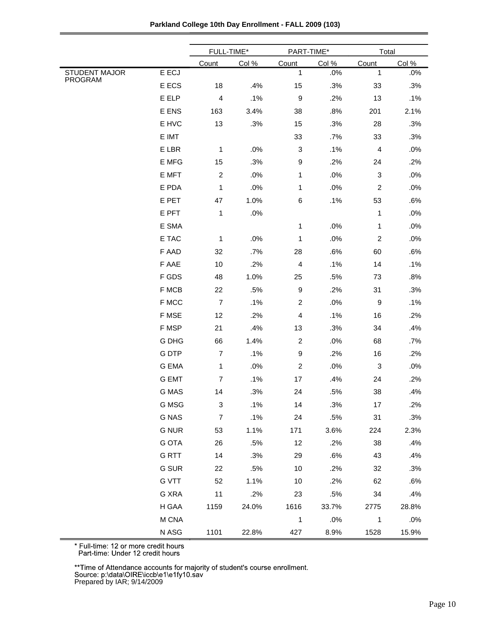|                                 |              | FULL-TIME*                |        |                         | PART-TIME* |                           | Total |  |
|---------------------------------|--------------|---------------------------|--------|-------------------------|------------|---------------------------|-------|--|
|                                 |              | Count                     | Col %  | Count                   | Col %      | Count                     | Col % |  |
| <b>STUDENT MAJOR</b><br>PROGRAM | E ECJ        |                           |        | 1                       | .0%        | 1                         | .0%   |  |
|                                 | E ECS        | 18                        | .4%    | 15                      | .3%        | 33                        | .3%   |  |
|                                 | E ELP        | $\overline{\mathbf{4}}$   | .1%    | $\boldsymbol{9}$        | .2%        | 13                        | .1%   |  |
|                                 | E ENS        | 163                       | 3.4%   | 38                      | .8%        | 201                       | 2.1%  |  |
|                                 | E HVC        | 13                        | .3%    | 15                      | .3%        | 28                        | .3%   |  |
|                                 | E IMT        |                           |        | 33                      | .7%        | 33                        | .3%   |  |
|                                 | E LBR        | $\mathbf 1$               | .0%    | 3                       | .1%        | $\overline{4}$            | .0%   |  |
|                                 | E MFG        | 15                        | .3%    | $\boldsymbol{9}$        | .2%        | 24                        | .2%   |  |
|                                 | E MFT        | $\boldsymbol{2}$          | .0%    | 1                       | .0%        | 3                         | .0%   |  |
|                                 | E PDA        | $\mathbf 1$               | .0%    | $\mathbf 1$             | .0%        | $\boldsymbol{2}$          | .0%   |  |
|                                 | E PET        | 47                        | 1.0%   | $\,6$                   | .1%        | 53                        | .6%   |  |
|                                 | E PFT        | $\mathbf 1$               | $.0\%$ |                         |            | $\mathbf{1}$              | .0%   |  |
|                                 | E SMA        |                           |        | 1                       | .0%        | 1                         | .0%   |  |
|                                 | E TAC        | 1                         | .0%    | 1                       | .0%        | $\overline{c}$            | .0%   |  |
|                                 | F AAD        | 32                        | .7%    | 28                      | .6%        | 60                        | .6%   |  |
|                                 | F AAE        | 10                        | .2%    | $\overline{\mathbf{4}}$ | .1%        | 14                        | .1%   |  |
|                                 | F GDS        | 48                        | 1.0%   | 25                      | .5%        | 73                        | .8%   |  |
|                                 | F MCB        | 22                        | .5%    | $\boldsymbol{9}$        | .2%        | 31                        | .3%   |  |
|                                 | F MCC        | $\boldsymbol{7}$          | .1%    | $\overline{c}$          | .0%        | $\boldsymbol{9}$          | .1%   |  |
|                                 | F MSE        | 12                        | .2%    | $\overline{\mathbf{4}}$ | .1%        | 16                        | .2%   |  |
|                                 | F MSP        | 21                        | .4%    | 13                      | .3%        | 34                        | .4%   |  |
|                                 | G DHG        | 66                        | 1.4%   | $\overline{c}$          | .0%        | 68                        | .7%   |  |
|                                 | <b>GDTP</b>  | $\boldsymbol{7}$          | .1%    | $\boldsymbol{9}$        | .2%        | 16                        | .2%   |  |
|                                 | <b>G EMA</b> | $\mathbf{1}$              | .0%    | $\overline{2}$          | .0%        | $\ensuremath{\mathsf{3}}$ | .0%   |  |
|                                 | <b>G EMT</b> | $\boldsymbol{7}$          | .1%    | 17                      | .4%        | 24                        | .2%   |  |
|                                 | G MAS        | 14                        | .3%    | 24                      | .5%        | 38                        | .4%   |  |
|                                 | G MSG        | $\ensuremath{\mathsf{3}}$ | .1%    | 14                      | .3%        | 17                        | .2%   |  |
|                                 | <b>G NAS</b> | $\boldsymbol{7}$          | .1%    | 24                      | .5%        | 31                        | .3%   |  |
|                                 | <b>G NUR</b> | 53                        | 1.1%   | 171                     | 3.6%       | 224                       | 2.3%  |  |
|                                 | <b>G OTA</b> | 26                        | .5%    | 12                      | .2%        | 38                        | .4%   |  |
|                                 | <b>GRTT</b>  | 14                        | .3%    | 29                      | .6%        | 43                        | .4%   |  |
|                                 | <b>G SUR</b> | 22                        | .5%    | 10                      | .2%        | 32                        | .3%   |  |
|                                 | <b>G VTT</b> | 52                        | 1.1%   | 10                      | .2%        | 62                        | .6%   |  |
|                                 | G XRA        | 11                        | .2%    | 23                      | .5%        | 34                        | .4%   |  |
|                                 | H GAA        | 1159                      | 24.0%  | 1616                    | 33.7%      | 2775                      | 28.8% |  |
|                                 | M CNA        |                           |        | $\mathbf 1$             | .0%        | 1                         | .0%   |  |
|                                 | N ASG        | 1101                      | 22.8%  | 427                     | 8.9%       | 1528                      | 15.9% |  |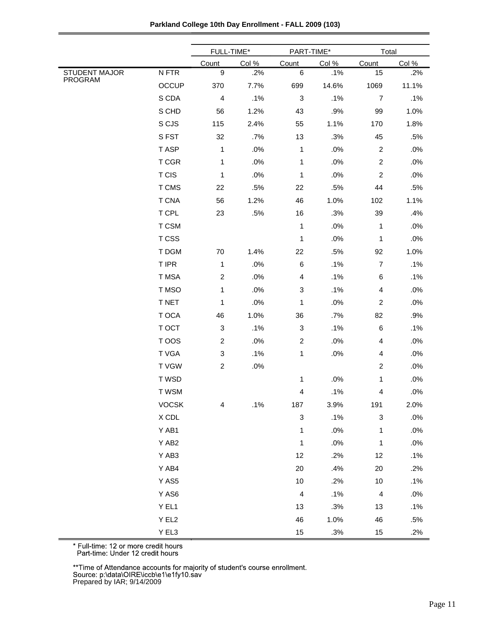| Parkland College 10th Day Enrollment - FALL 2009 (103) |  |  |  |  |  |
|--------------------------------------------------------|--|--|--|--|--|
|--------------------------------------------------------|--|--|--|--|--|

|                      |                               | FULL-TIME*                |        | PART-TIME*                |       | Total                     |       |
|----------------------|-------------------------------|---------------------------|--------|---------------------------|-------|---------------------------|-------|
|                      |                               | Count                     | Col %  | Count                     | Col % | Count                     | Col % |
| <b>STUDENT MAJOR</b> | ${\sf N}$ FTR                 | $\boldsymbol{9}$          | .2%    | $\,6\,$                   | .1%   | 15                        | .2%   |
| <b>PROGRAM</b>       | <b>OCCUP</b>                  | 370                       | 7.7%   | 699                       | 14.6% | 1069                      | 11.1% |
|                      | S CDA                         | $\overline{\mathbf{4}}$   | .1%    | $\sqrt{3}$                | .1%   | $\overline{7}$            | .1%   |
|                      | S CHD                         | 56                        | 1.2%   | 43                        | .9%   | 99                        | 1.0%  |
|                      | S CJS                         | 115                       | 2.4%   | 55                        | 1.1%  | 170                       | 1.8%  |
|                      | S FST                         | 32                        | .7%    | 13                        | .3%   | 45                        | .5%   |
|                      | T ASP                         | 1                         | $.0\%$ | 1                         | .0%   | $\sqrt{2}$                | .0%   |
|                      | T CGR                         | 1                         | .0%    | 1                         | .0%   | $\overline{c}$            | .0%   |
|                      | T CIS                         | 1                         | .0%    | 1                         | .0%   | $\overline{c}$            | .0%   |
|                      | T CMS                         | 22                        | .5%    | 22                        | .5%   | 44                        | .5%   |
|                      | <b>T CNA</b>                  | 56                        | 1.2%   | 46                        | 1.0%  | 102                       | 1.1%  |
|                      | T CPL                         | 23                        | .5%    | 16                        | .3%   | 39                        | .4%   |
|                      | T CSM                         |                           |        | 1                         | .0%   | 1                         | .0%   |
|                      | T CSS                         |                           |        | $\mathbf 1$               | .0%   | 1                         | .0%   |
|                      | T DGM                         | 70                        | 1.4%   | 22                        | .5%   | 92                        | 1.0%  |
|                      | T IPR                         | 1                         | .0%    | $\,6$                     | .1%   | $\boldsymbol{7}$          | .1%   |
|                      | T MSA                         | $\overline{c}$            | .0%    | $\overline{\mathbf{4}}$   | .1%   | 6                         | .1%   |
|                      | T MSO                         | 1                         | .0%    | $\ensuremath{\mathsf{3}}$ | .1%   | 4                         | .0%   |
|                      | T NET                         | 1                         | .0%    | 1                         | .0%   | $\overline{c}$            | .0%   |
|                      | T OCA                         | 46                        | 1.0%   | 36                        | .7%   | 82                        | .9%   |
|                      | T OCT                         | $\ensuremath{\mathsf{3}}$ | .1%    | $\ensuremath{\mathsf{3}}$ | .1%   | $\,6$                     | .1%   |
|                      | T OOS                         | $\overline{c}$            | .0%    | $\overline{c}$            | .0%   | 4                         | .0%   |
|                      | T VGA                         | 3                         | .1%    | 1                         | .0%   | 4                         | .0%   |
|                      | <b>TVGW</b>                   | $\overline{c}$            | .0%    |                           |       | $\boldsymbol{2}$          | .0%   |
|                      | T WSD                         |                           |        | 1                         | .0%   | 1                         | .0%   |
|                      | T WSM                         |                           |        | 4                         | .1%   | 4                         | .0%   |
|                      | <b>VOCSK</b>                  | 4                         | .1%    | 187                       | 3.9%  | 191                       | 2.0%  |
|                      | $\boldsymbol{\mathsf{X}}$ CDL |                           |        | $\ensuremath{\mathsf{3}}$ | .1%   | $\ensuremath{\mathsf{3}}$ | .0%   |
|                      | Y AB1                         |                           |        | 1                         | .0%   | 1                         | .0%   |
|                      | Y AB2                         |                           |        | 1                         | .0%   | $\mathbf{1}$              | .0%   |
|                      | Y AB3                         |                           |        | 12                        | .2%   | 12                        | .1%   |
|                      | Y AB4                         |                           |        | 20                        | .4%   | 20                        | .2%   |
|                      | Y AS5                         |                           |        | 10                        | .2%   | 10                        | .1%   |
|                      | Y AS6                         |                           |        | $\overline{4}$            | .1%   | $\overline{4}$            | .0%   |
|                      | Y EL1                         |                           |        | 13                        | .3%   | 13                        | .1%   |
|                      | Y EL2                         |                           |        | 46                        | 1.0%  | 46                        | .5%   |
|                      | Y EL3                         |                           |        | 15                        | .3%   | 15                        | .2%   |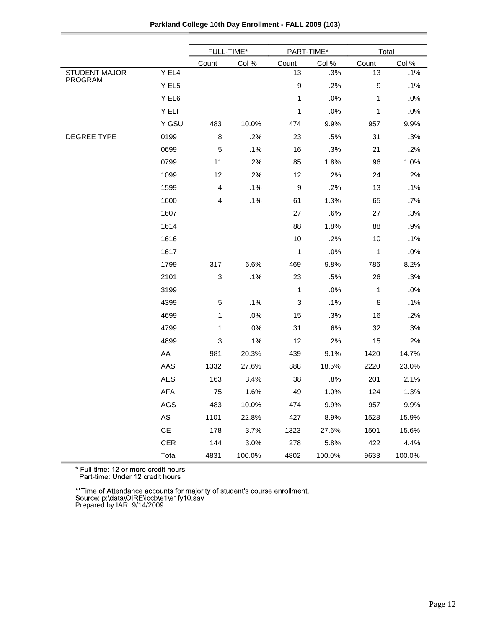| Parkland College 10th Day Enrollment - FALL 2009 (103) |  |
|--------------------------------------------------------|--|
|                                                        |  |

|                                 |                               | FULL-TIME*  |        | PART-TIME*       |        | Total |        |
|---------------------------------|-------------------------------|-------------|--------|------------------|--------|-------|--------|
|                                 |                               | Count       | Col %  | Count            | Col %  | Count | Col %  |
| <b>STUDENT MAJOR</b><br>PROGRAM | Y EL4                         |             |        | 13               | .3%    | 13    | .1%    |
|                                 | Y EL5                         |             |        | 9                | .2%    | 9     | .1%    |
|                                 | Y EL6                         |             |        | 1                | .0%    | 1     | .0%    |
|                                 | Y ELI                         |             |        | $\mathbf 1$      | .0%    | 1     | .0%    |
|                                 | Y GSU                         | 483         | 10.0%  | 474              | 9.9%   | 957   | 9.9%   |
| DEGREE TYPE                     | 0199                          | $\bf8$      | .2%    | 23               | .5%    | 31    | .3%    |
|                                 | 0699                          | 5           | .1%    | 16               | .3%    | 21    | .2%    |
|                                 | 0799                          | 11          | .2%    | 85               | 1.8%   | 96    | 1.0%   |
|                                 | 1099                          | 12          | .2%    | 12               | .2%    | 24    | .2%    |
|                                 | 1599                          | 4           | .1%    | $\boldsymbol{9}$ | .2%    | 13    | .1%    |
|                                 | 1600                          | 4           | .1%    | 61               | 1.3%   | 65    | .7%    |
|                                 | 1607                          |             |        | 27               | .6%    | 27    | .3%    |
|                                 | 1614                          |             |        | 88               | 1.8%   | 88    | .9%    |
|                                 | 1616                          |             |        | 10               | .2%    | 10    | .1%    |
|                                 | 1617                          |             |        | 1                | .0%    | 1     | .0%    |
|                                 | 1799                          | 317         | 6.6%   | 469              | 9.8%   | 786   | 8.2%   |
|                                 | 2101                          | 3           | .1%    | 23               | .5%    | 26    | .3%    |
|                                 | 3199                          |             |        | 1                | .0%    | 1     | .0%    |
|                                 | 4399                          | $\mathbf 5$ | .1%    | 3                | .1%    | 8     | .1%    |
|                                 | 4699                          | 1           | .0%    | 15               | .3%    | 16    | .2%    |
|                                 | 4799                          | 1           | .0%    | 31               | .6%    | 32    | .3%    |
|                                 | 4899                          | 3           | .1%    | 12               | .2%    | 15    | .2%    |
|                                 | AA                            | 981         | 20.3%  | 439              | 9.1%   | 1420  | 14.7%  |
|                                 | AAS                           | 1332        | 27.6%  | 888              | 18.5%  | 2220  | 23.0%  |
|                                 | AES                           | 163         | 3.4%   | 38               | .8%    | 201   | 2.1%   |
|                                 | AFA                           | 75          | 1.6%   | 49               | 1.0%   | 124   | 1.3%   |
|                                 | AGS                           | 483         | 10.0%  | 474              | 9.9%   | 957   | 9.9%   |
|                                 | $\mathsf{AS}$                 | 1101        | 22.8%  | 427              | 8.9%   | 1528  | 15.9%  |
|                                 | $\mathsf{CE}% _{\mathcal{A}}$ | 178         | 3.7%   | 1323             | 27.6%  | 1501  | 15.6%  |
|                                 | <b>CER</b>                    | 144         | 3.0%   | 278              | 5.8%   | 422   | 4.4%   |
|                                 | Total                         | 4831        | 100.0% | 4802             | 100.0% | 9633  | 100.0% |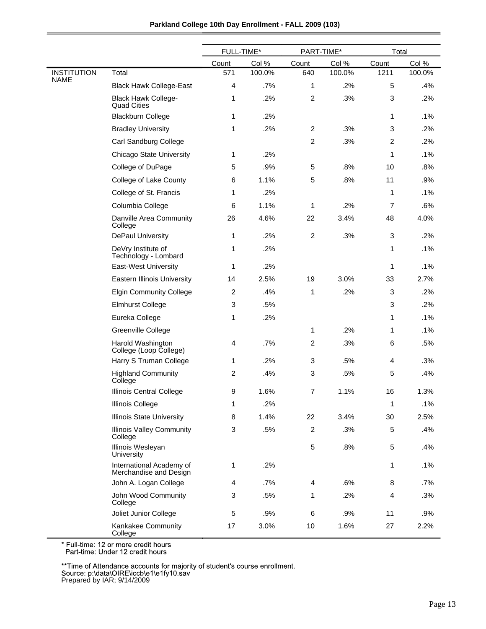| Parkland College 10th Day Enrollment - FALL 2009 (103) |  |  |  |  |  |
|--------------------------------------------------------|--|--|--|--|--|
|--------------------------------------------------------|--|--|--|--|--|

|                                   |                                                    | FULL-TIME*     |        | PART-TIME*       |        | Total          |        |
|-----------------------------------|----------------------------------------------------|----------------|--------|------------------|--------|----------------|--------|
|                                   |                                                    | Count          | Col %  | Count            | Col %  | Count          | Col %  |
| <b>INSTITUTION</b><br><b>NAME</b> | Total                                              | 571            | 100.0% | 640              | 100.0% | 1211           | 100.0% |
|                                   | <b>Black Hawk College-East</b>                     | 4              | .7%    | 1                | .2%    | 5              | .4%    |
|                                   | <b>Black Hawk College-</b><br><b>Quad Cities</b>   | 1              | .2%    | $\overline{c}$   | .3%    | 3              | .2%    |
|                                   | <b>Blackburn College</b>                           | 1              | .2%    |                  |        | $\mathbf{1}$   | .1%    |
|                                   | <b>Bradley University</b>                          | 1              | .2%    | $\overline{2}$   | .3%    | 3              | .2%    |
|                                   | Carl Sandburg College                              |                |        | 2                | .3%    | 2              | .2%    |
|                                   | Chicago State University                           | 1              | .2%    |                  |        | 1              | .1%    |
|                                   | College of DuPage                                  | 5              | .9%    | 5                | .8%    | 10             | .8%    |
|                                   | College of Lake County                             | 6              | 1.1%   | 5                | .8%    | 11             | .9%    |
|                                   | College of St. Francis                             | 1              | .2%    |                  |        | $\mathbf{1}$   | .1%    |
|                                   | Columbia College                                   | 6              | 1.1%   | 1                | .2%    | $\overline{7}$ | .6%    |
|                                   | Danville Area Community<br>College                 | 26             | 4.6%   | 22               | 3.4%   | 48             | 4.0%   |
|                                   | <b>DePaul University</b>                           | 1              | .2%    | $\overline{c}$   | .3%    | 3              | .2%    |
|                                   | DeVry Institute of<br>Technology - Lombard         | 1              | .2%    |                  |        | 1              | .1%    |
|                                   | <b>East-West University</b>                        | 1              | .2%    |                  |        | 1              | .1%    |
|                                   | <b>Eastern Illinois University</b>                 | 14             | 2.5%   | 19               | 3.0%   | 33             | 2.7%   |
|                                   | <b>Elgin Community College</b>                     | $\overline{c}$ | .4%    | 1                | .2%    | 3              | .2%    |
|                                   | <b>Elmhurst College</b>                            | 3              | .5%    |                  |        | 3              | .2%    |
|                                   | Eureka College                                     | 1              | .2%    |                  |        | $\mathbf{1}$   | .1%    |
|                                   | Greenville College                                 |                |        | 1                | .2%    | $\mathbf{1}$   | .1%    |
|                                   | Harold Washington<br>College (Loop College)        | 4              | .7%    | $\overline{c}$   | .3%    | 6              | .5%    |
|                                   | Harry S Truman College                             | 1              | .2%    | 3                | .5%    | 4              | .3%    |
|                                   | <b>Highland Community</b><br>College               | $\overline{c}$ | .4%    | 3                | .5%    | 5              | .4%    |
|                                   | Illinois Central College                           | 9              | 1.6%   | $\overline{7}$   | 1.1%   | 16             | 1.3%   |
|                                   | Illinois College                                   | 1              | $.2\%$ |                  |        | 1              | .1%    |
|                                   | <b>Illinois State University</b>                   | 8              | 1.4%   | 22               | 3.4%   | 30             | 2.5%   |
|                                   | <b>Illinois Valley Community</b><br>College        | 3              | .5%    | $\boldsymbol{2}$ | .3%    | 5              | .4%    |
|                                   | Illinois Wesleyan<br>University                    |                |        | $\mathbf 5$      | .8%    | 5              | .4%    |
|                                   | International Academy of<br>Merchandise and Design | 1              | .2%    |                  |        | 1              | .1%    |
|                                   | John A. Logan College                              | 4              | .7%    | 4                | .6%    | 8              | .7%    |
|                                   | John Wood Community<br>College                     | 3              | .5%    | 1                | .2%    | 4              | .3%    |
|                                   | Joliet Junior College                              | 5              | .9%    | 6                | .9%    | 11             | .9%    |
|                                   | Kankakee Community<br>College                      | 17             | 3.0%   | 10               | 1.6%   | 27             | 2.2%   |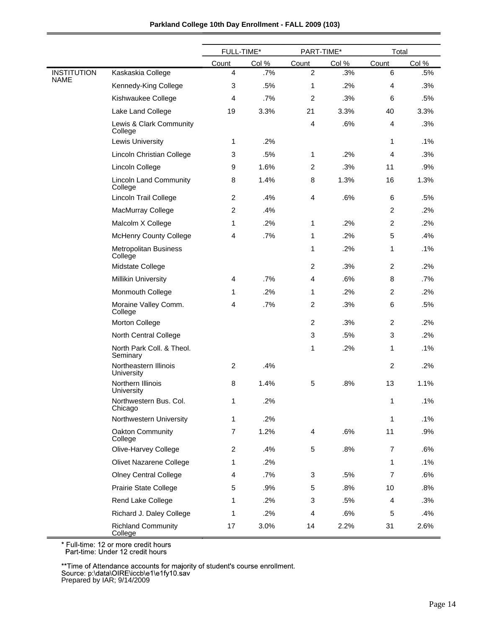|             |                                          | FULL-TIME*     |       | PART-TIME*     |       | Total          |       |
|-------------|------------------------------------------|----------------|-------|----------------|-------|----------------|-------|
|             |                                          | Count          | Col % | Count          | Col % | Count          | Col % |
| INSTITUTION | Kaskaskia College                        | $\overline{4}$ | .7%   | $\overline{c}$ | .3%   | 6              | .5%   |
| NAME        | Kennedy-King College                     | 3              | .5%   | 1              | .2%   | 4              | .3%   |
|             | Kishwaukee College                       | 4              | .7%   | $\overline{c}$ | .3%   | 6              | .5%   |
|             | Lake Land College                        | 19             | 3.3%  | 21             | 3.3%  | 40             | 3.3%  |
|             | Lewis & Clark Community<br>College       |                |       | 4              | .6%   | 4              | .3%   |
|             | <b>Lewis University</b>                  | 1              | .2%   |                |       | 1              | .1%   |
|             | Lincoln Christian College                | 3              | .5%   | 1              | .2%   | 4              | .3%   |
|             | Lincoln College                          | 9              | 1.6%  | 2              | .3%   | 11             | .9%   |
|             | <b>Lincoln Land Community</b><br>College | 8              | 1.4%  | 8              | 1.3%  | 16             | 1.3%  |
|             | Lincoln Trail College                    | 2              | .4%   | 4              | .6%   | 6              | .5%   |
|             | MacMurray College                        | $\overline{c}$ | .4%   |                |       | $\overline{2}$ | .2%   |
|             | Malcolm X College                        | 1              | .2%   | 1              | .2%   | $\overline{2}$ | .2%   |
|             | <b>McHenry County College</b>            | 4              | .7%   | 1              | .2%   | 5              | .4%   |
|             | <b>Metropolitan Business</b><br>College  |                |       | 1              | .2%   | 1              | .1%   |
|             | Midstate College                         |                |       | $\overline{c}$ | .3%   | $\overline{2}$ | .2%   |
|             | <b>Millikin University</b>               | 4              | .7%   | 4              | .6%   | 8              | .7%   |
|             | Monmouth College                         | 1              | .2%   | 1              | .2%   | $\overline{2}$ | .2%   |
|             | Moraine Valley Comm.<br>College          | 4              | .7%   | 2              | .3%   | 6              | .5%   |
|             | Morton College                           |                |       | $\overline{c}$ | .3%   | $\overline{c}$ | .2%   |
|             | North Central College                    |                |       | 3              | .5%   | 3              | .2%   |
|             | North Park Coll. & Theol.<br>Seminary    |                |       | 1              | .2%   | 1              | .1%   |
|             | Northeastern Illinois<br>University      | 2              | .4%   |                |       | $\overline{2}$ | .2%   |
|             | Northern Illinois<br>University          | 8              | 1.4%  | 5              | .8%   | 13             | 1.1%  |
|             | Northwestern Bus. Col.<br>Chicago        | 1              | 2%    |                |       | 1              | .1%   |
|             | Northwestern University                  | 1              | .2%   |                |       | 1              | .1%   |
|             | Oakton Community<br>College              | $\overline{7}$ | 1.2%  | 4              | .6%   | 11             | .9%   |
|             | Olive-Harvey College                     | $\overline{c}$ | .4%   | 5              | .8%   | 7              | .6%   |
|             | Olivet Nazarene College                  | 1              | .2%   |                |       | 1              | .1%   |
|             | <b>Olney Central College</b>             | 4              | .7%   | 3              | .5%   | $\overline{7}$ | .6%   |
|             | Prairie State College                    | 5              | .9%   | 5              | .8%   | 10             | .8%   |
|             | Rend Lake College                        | 1              | .2%   | 3              | .5%   | 4              | .3%   |
|             | Richard J. Daley College                 | 1              | .2%   | 4              | .6%   | 5              | .4%   |
|             | <b>Richland Community</b><br>College     | 17             | 3.0%  | 14             | 2.2%  | 31             | 2.6%  |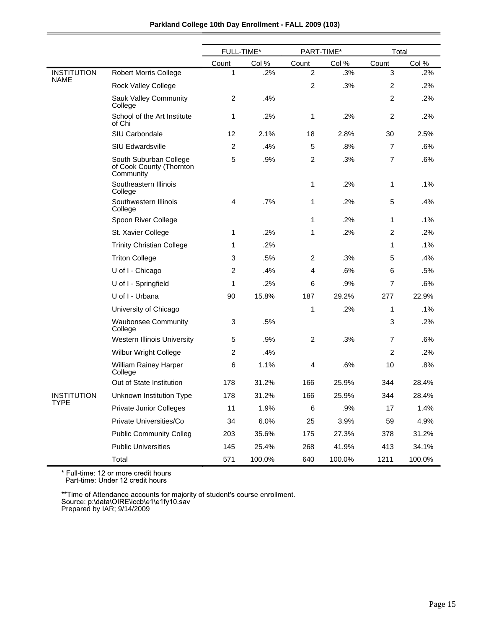|                                   |                                                                 | FULL-TIME*     |        | PART-TIME*     |        | Total          |        |
|-----------------------------------|-----------------------------------------------------------------|----------------|--------|----------------|--------|----------------|--------|
|                                   |                                                                 | Count          | Col %  | Count          | Col %  | Count          | Col %  |
| <b>INSTITUTION</b><br><b>NAME</b> | <b>Robert Morris College</b>                                    | 1              | .2%    | $\overline{c}$ | .3%    | $\mathbf{3}$   | .2%    |
|                                   | <b>Rock Valley College</b>                                      |                |        | $\overline{c}$ | .3%    | $\overline{c}$ | .2%    |
|                                   | Sauk Valley Community<br>College                                | $\overline{c}$ | .4%    |                |        | 2              | .2%    |
|                                   | School of the Art Institute<br>of Chi                           | 1              | .2%    | 1              | .2%    | $\overline{c}$ | .2%    |
|                                   | SIU Carbondale                                                  | 12             | 2.1%   | 18             | 2.8%   | 30             | 2.5%   |
|                                   | SIU Edwardsville                                                | $\overline{c}$ | .4%    | 5              | .8%    | $\overline{7}$ | .6%    |
|                                   | South Suburban College<br>of Cook County (Thornton<br>Community | 5              | .9%    | $\overline{c}$ | .3%    | $\overline{7}$ | .6%    |
|                                   | Southeastern Illinois<br>College                                |                |        | 1              | .2%    | 1              | .1%    |
|                                   | Southwestern Illinois<br>College                                | 4              | .7%    | 1              | .2%    | 5              | .4%    |
|                                   | Spoon River College                                             |                |        | 1              | .2%    | 1              | .1%    |
|                                   | St. Xavier College                                              | 1              | .2%    | 1              | .2%    | 2              | .2%    |
|                                   | <b>Trinity Christian College</b>                                | 1              | .2%    |                |        | 1              | .1%    |
|                                   | <b>Triton College</b>                                           | 3              | .5%    | 2              | .3%    | 5              | .4%    |
|                                   | U of I - Chicago                                                | 2              | .4%    | 4              | .6%    | 6              | .5%    |
|                                   | U of I - Springfield                                            | 1              | .2%    | 6              | .9%    | 7              | .6%    |
|                                   | U of I - Urbana                                                 | 90             | 15.8%  | 187            | 29.2%  | 277            | 22.9%  |
|                                   | University of Chicago                                           |                |        | 1              | .2%    | 1              | .1%    |
|                                   | <b>Waubonsee Community</b><br>College                           | 3              | .5%    |                |        | 3              | .2%    |
|                                   | Western Illinois University                                     | 5              | .9%    | $\overline{c}$ | .3%    | $\overline{7}$ | .6%    |
|                                   | Wilbur Wright College                                           | $\overline{c}$ | .4%    |                |        | $\overline{c}$ | .2%    |
|                                   | William Rainey Harper<br>College                                | 6              | 1.1%   | 4              | .6%    | 10             | .8%    |
|                                   | Out of State Institution                                        | 178            | 31.2%  | 166            | 25.9%  | 344            | 28.4%  |
| <b>INSTITUTION</b>                | Unknown Institution Type                                        | 178            | 31.2%  | 166            | 25.9%  | 344            | 28.4%  |
| <b>TYPE</b>                       | <b>Private Junior Colleges</b>                                  | 11             | 1.9%   | $\,6$          | .9%    | 17             | 1.4%   |
|                                   | Private Universities/Co                                         | 34             | 6.0%   | 25             | 3.9%   | 59             | 4.9%   |
|                                   | <b>Public Community Colleg</b>                                  | 203            | 35.6%  | 175            | 27.3%  | 378            | 31.2%  |
|                                   | <b>Public Universities</b>                                      | 145            | 25.4%  | 268            | 41.9%  | 413            | 34.1%  |
|                                   | Total                                                           | 571            | 100.0% | 640            | 100.0% | 1211           | 100.0% |